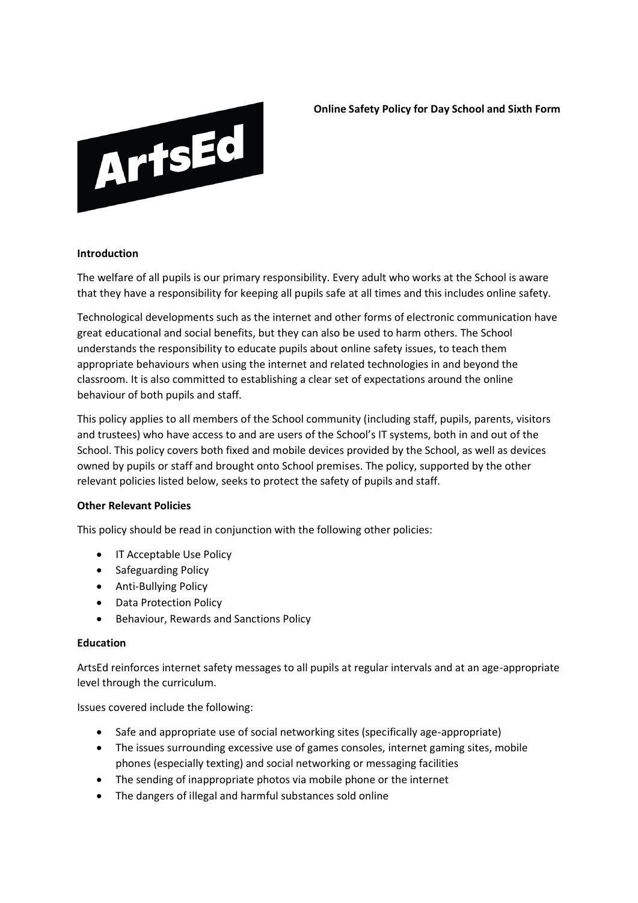

**Online Safety Policy for Day School and Sixth Form**

#### **Introduction**

The welfare of all pupils is our primary responsibility. Every adult who works at the School is aware that they have a responsibility for keeping all pupils safe at all times and this includes online safety.

Technological developments such as the internet and other forms of electronic communication have great educational and social benefits, but they can also be used to harm others. The School understands the responsibility to educate pupils about online safety issues, to teach them appropriate behaviours when using the internet and related technologies in and beyond the classroom. It is also committed to establishing a clear set of expectations around the online behaviour of both pupils and staff.

This policy applies to all members of the School community (including staff, pupils, parents, visitors and trustees) who have access to and are users of the School's IT systems, both in and out of the School. This policy covers both fixed and mobile devices provided by the School, as well as devices owned by pupils or staff and brought onto School premises. The policy, supported by the other relevant policies listed below, seeks to protect the safety of pupils and staff.

#### **Other Relevant Policies**

This policy should be read in conjunction with the following other policies:

- IT Acceptable Use Policy
- Safeguarding Policy
- Anti-Bullying Policy
- Data Protection Policy
- Behaviour, Rewards and Sanctions Policy

#### **Education**

ArtsEd reinforces internet safety messages to all pupils at regular intervals and at an age-appropriate level through the curriculum.

Issues covered include the following:

- Safe and appropriate use of social networking sites (specifically age-appropriate)
- The issues surrounding excessive use of games consoles, internet gaming sites, mobile phones (especially texting) and social networking or messaging facilities
- The sending of inappropriate photos via mobile phone or the internet
- The dangers of illegal and harmful substances sold online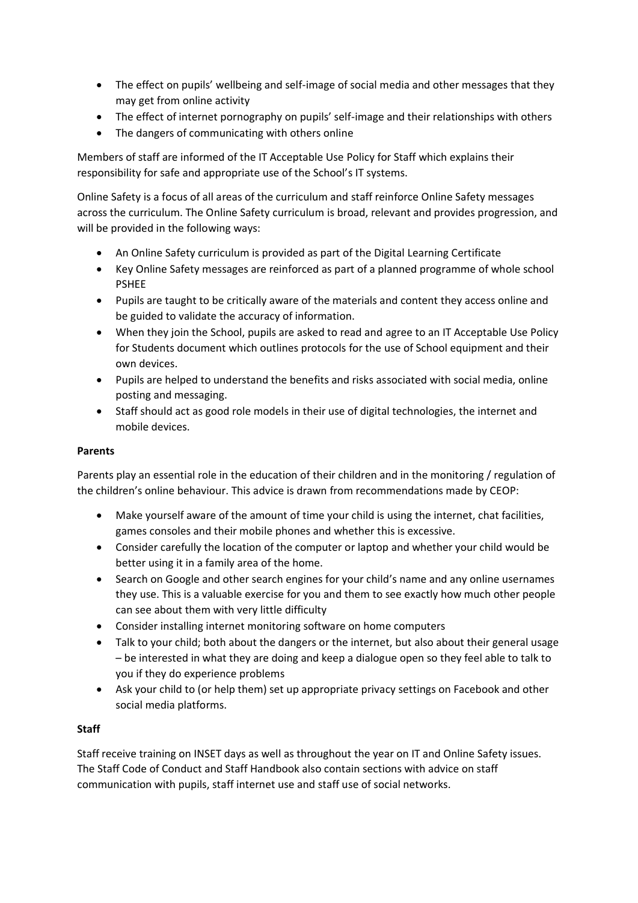- The effect on pupils' wellbeing and self-image of social media and other messages that they may get from online activity
- The effect of internet pornography on pupils' self-image and their relationships with others
- The dangers of communicating with others online

Members of staff are informed of the IT Acceptable Use Policy for Staff which explains their responsibility for safe and appropriate use of the School's IT systems.

Online Safety is a focus of all areas of the curriculum and staff reinforce Online Safety messages across the curriculum. The Online Safety curriculum is broad, relevant and provides progression, and will be provided in the following ways:

- An Online Safety curriculum is provided as part of the Digital Learning Certificate
- Key Online Safety messages are reinforced as part of a planned programme of whole school PSHEE
- Pupils are taught to be critically aware of the materials and content they access online and be guided to validate the accuracy of information.
- When they join the School, pupils are asked to read and agree to an IT Acceptable Use Policy for Students document which outlines protocols for the use of School equipment and their own devices.
- Pupils are helped to understand the benefits and risks associated with social media, online posting and messaging.
- Staff should act as good role models in their use of digital technologies, the internet and mobile devices.

# **Parents**

Parents play an essential role in the education of their children and in the monitoring / regulation of the children's online behaviour. This advice is drawn from recommendations made by CEOP:

- Make yourself aware of the amount of time your child is using the internet, chat facilities, games consoles and their mobile phones and whether this is excessive.
- Consider carefully the location of the computer or laptop and whether your child would be better using it in a family area of the home.
- Search on Google and other search engines for your child's name and any online usernames they use. This is a valuable exercise for you and them to see exactly how much other people can see about them with very little difficulty
- Consider installing internet monitoring software on home computers
- Talk to your child; both about the dangers or the internet, but also about their general usage – be interested in what they are doing and keep a dialogue open so they feel able to talk to you if they do experience problems
- Ask your child to (or help them) set up appropriate privacy settings on Facebook and other social media platforms.

# **Staff**

Staff receive training on INSET days as well as throughout the year on IT and Online Safety issues. The Staff Code of Conduct and Staff Handbook also contain sections with advice on staff communication with pupils, staff internet use and staff use of social networks.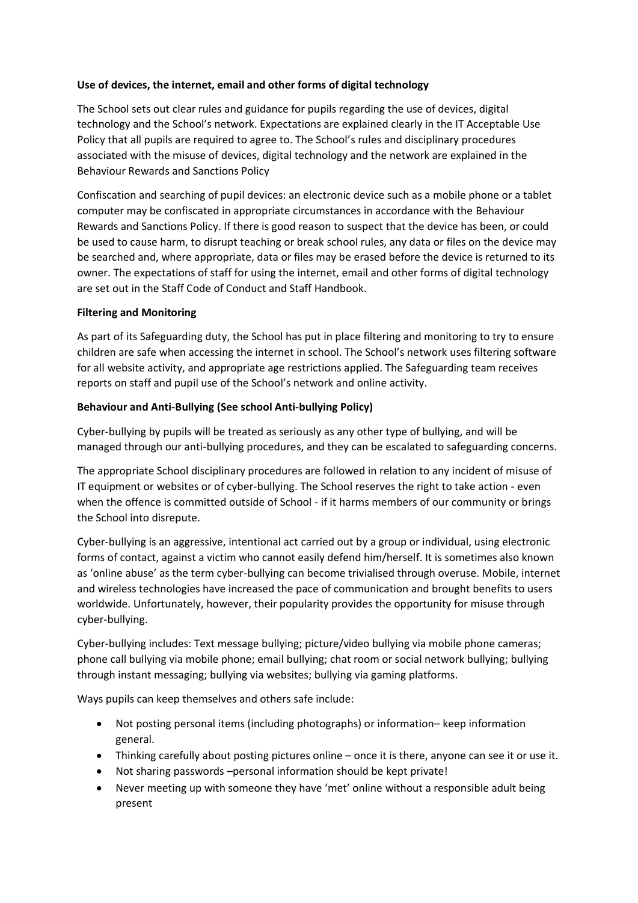# **Use of devices, the internet, email and other forms of digital technology**

The School sets out clear rules and guidance for pupils regarding the use of devices, digital technology and the School's network. Expectations are explained clearly in the IT Acceptable Use Policy that all pupils are required to agree to. The School's rules and disciplinary procedures associated with the misuse of devices, digital technology and the network are explained in the Behaviour Rewards and Sanctions Policy

Confiscation and searching of pupil devices: an electronic device such as a mobile phone or a tablet computer may be confiscated in appropriate circumstances in accordance with the Behaviour Rewards and Sanctions Policy. If there is good reason to suspect that the device has been, or could be used to cause harm, to disrupt teaching or break school rules, any data or files on the device may be searched and, where appropriate, data or files may be erased before the device is returned to its owner. The expectations of staff for using the internet, email and other forms of digital technology are set out in the Staff Code of Conduct and Staff Handbook.

# **Filtering and Monitoring**

As part of its Safeguarding duty, the School has put in place filtering and monitoring to try to ensure children are safe when accessing the internet in school. The School's network uses filtering software for all website activity, and appropriate age restrictions applied. The Safeguarding team receives reports on staff and pupil use of the School's network and online activity.

# **Behaviour and Anti-Bullying (See school Anti-bullying Policy)**

Cyber-bullying by pupils will be treated as seriously as any other type of bullying, and will be managed through our anti-bullying procedures, and they can be escalated to safeguarding concerns.

The appropriate School disciplinary procedures are followed in relation to any incident of misuse of IT equipment or websites or of cyber-bullying. The School reserves the right to take action - even when the offence is committed outside of School - if it harms members of our community or brings the School into disrepute.

Cyber-bullying is an aggressive, intentional act carried out by a group or individual, using electronic forms of contact, against a victim who cannot easily defend him/herself. It is sometimes also known as 'online abuse' as the term cyber-bullying can become trivialised through overuse. Mobile, internet and wireless technologies have increased the pace of communication and brought benefits to users worldwide. Unfortunately, however, their popularity provides the opportunity for misuse through cyber-bullying.

Cyber-bullying includes: Text message bullying; picture/video bullying via mobile phone cameras; phone call bullying via mobile phone; email bullying; chat room or social network bullying; bullying through instant messaging; bullying via websites; bullying via gaming platforms.

Ways pupils can keep themselves and others safe include:

- Not posting personal items (including photographs) or information– keep information general.
- Thinking carefully about posting pictures online once it is there, anyone can see it or use it.
- Not sharing passwords –personal information should be kept private!
- Never meeting up with someone they have 'met' online without a responsible adult being present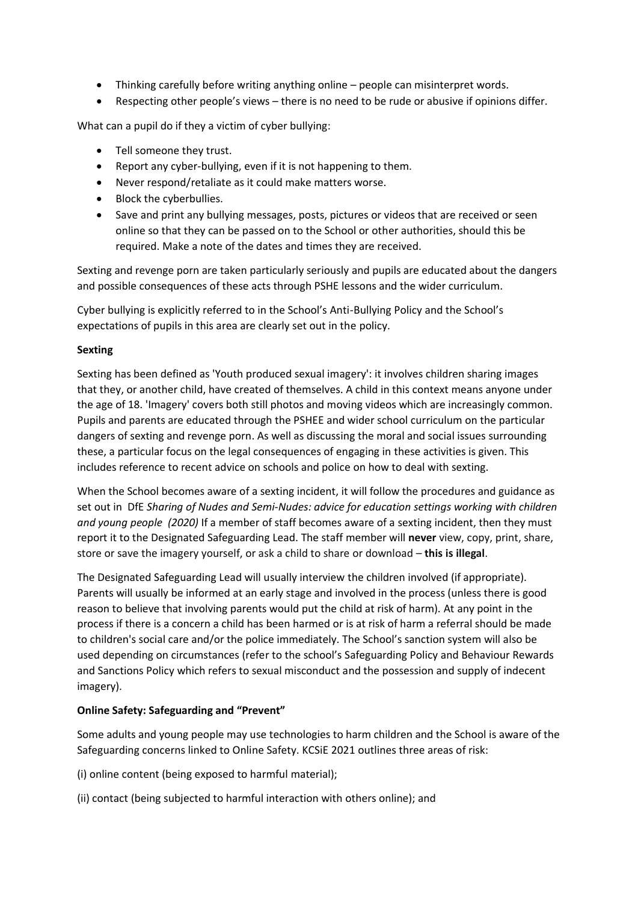- Thinking carefully before writing anything online people can misinterpret words.
- Respecting other people's views there is no need to be rude or abusive if opinions differ.

What can a pupil do if they a victim of cyber bullying:

- Tell someone they trust.
- Report any cyber-bullying, even if it is not happening to them.
- Never respond/retaliate as it could make matters worse.
- Block the cyberbullies.
- Save and print any bullying messages, posts, pictures or videos that are received or seen online so that they can be passed on to the School or other authorities, should this be required. Make a note of the dates and times they are received.

Sexting and revenge porn are taken particularly seriously and pupils are educated about the dangers and possible consequences of these acts through PSHE lessons and the wider curriculum.

Cyber bullying is explicitly referred to in the School's Anti-Bullying Policy and the School's expectations of pupils in this area are clearly set out in the policy.

#### **Sexting**

Sexting has been defined as 'Youth produced sexual imagery': it involves children sharing images that they, or another child, have created of themselves. A child in this context means anyone under the age of 18. 'Imagery' covers both still photos and moving videos which are increasingly common. Pupils and parents are educated through the PSHEE and wider school curriculum on the particular dangers of sexting and revenge porn. As well as discussing the moral and social issues surrounding these, a particular focus on the legal consequences of engaging in these activities is given. This includes reference to recent advice on schools and police on how to deal with sexting.

When the School becomes aware of a sexting incident, it will follow the procedures and guidance as set out in DfE *Sharing of Nudes and Semi-Nudes: advice for education settings working with children and young people (2020)* If a member of staff becomes aware of a sexting incident, then they must report it to the Designated Safeguarding Lead. The staff member will **never** view, copy, print, share, store or save the imagery yourself, or ask a child to share or download – **this is illegal**.

The Designated Safeguarding Lead will usually interview the children involved (if appropriate). Parents will usually be informed at an early stage and involved in the process (unless there is good reason to believe that involving parents would put the child at risk of harm). At any point in the process if there is a concern a child has been harmed or is at risk of harm a referral should be made to children's social care and/or the police immediately. The School's sanction system will also be used depending on circumstances (refer to the school's Safeguarding Policy and Behaviour Rewards and Sanctions Policy which refers to sexual misconduct and the possession and supply of indecent imagery).

# **Online Safety: Safeguarding and "Prevent"**

Some adults and young people may use technologies to harm children and the School is aware of the Safeguarding concerns linked to Online Safety. KCSiE 2021 outlines three areas of risk:

(i) online content (being exposed to harmful material);

(ii) contact (being subjected to harmful interaction with others online); and